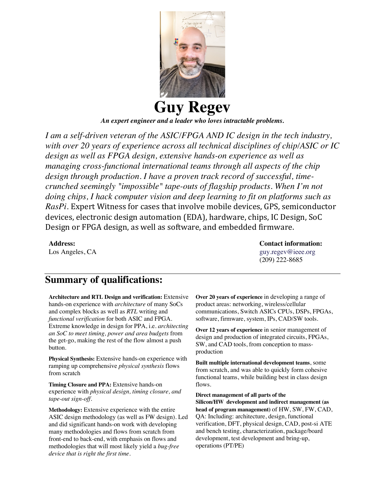

*An expert engineer and a leader who loves intractable problems.* 

*I am a self-driven veteran of the ASIC/FPGA AND IC design in the tech industry, with over 20 years of experience across all technical disciplines of chip/ASIC or IC design as well as FPGA design, extensive hands-on experience as well as managing cross-functional international teams through all aspects of the chip design through production. I have a proven track record of successful, timecrunched seemingly "impossible" tape-outs of flagship products. When I'm not doing chips, I hack computer vision and deep learning to fit on platforms such as RasPi*. Expert Witness for cases that involve mobile devices, GPS, semiconductor devices, electronic design automation (EDA), hardware, chips, IC Design, SoC Design or FPGA design, as well as software, and embedded firmware.

**Address:**  Los Angeles, CA **Contact information:**  guy.regev@ieee.org (209) 222-8685

#### **Summary of qualifications:**

**Architecture and RTL Design and verification:** Extensive hands-on experience with *architecture* of many SoCs and complex blocks as well as *RTL* writing and *functional verification* for both ASIC and FPGA. Extreme knowledge in design for PPA, i.e. *architecting an SoC to meet timing, power and area budgets* from the get-go, making the rest of the flow almost a push button.

**Physical Synthesis:** Extensive hands-on experience with ramping up comprehensive *physical synthesis* flows from scratch

**Timing Closure and PPA:** Extensive hands-on experience with *physical design, timing closure, and tape-out sign-off*.

**Methodology:** Extensive experience with the entire ASIC design methodology (as well as FW design). Led and did significant hands-on work with developing many methodologies and flows from scratch from front-end to back-end, with emphasis on flows and methodologies that will most likely yield a *bug-free device that is right the first time*.

**Over 20 years of experience** in developing a range of product areas: networking, wireless/cellular communications, Switch ASICs CPUs, DSPs, FPGAs, software, firmware, system, IPs, CAD/SW tools.

**Over 12 years of experience** in senior management of design and production of integrated circuits, FPGAs, SW, and CAD tools, from conception to massproduction

**Built multiple international development teams**, some from scratch, and was able to quickly form cohesive functional teams, while building best in class design flows.

**Direct management of all parts of the Silicon/HW development and indirect management (as head of program management)** of HW, SW, FW, CAD, QA: Including: architecture, design, functional verification, DFT, physical design, CAD, post-si ATE and bench testing, characterization, package/board development, test development and bring-up, operations (PT/PE)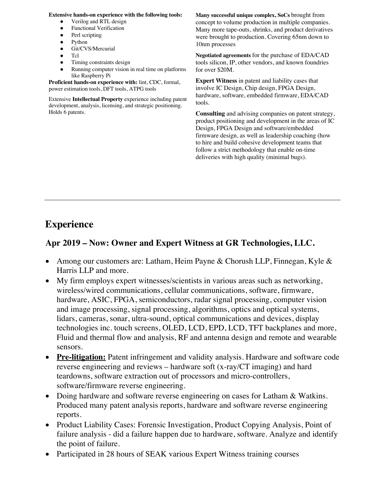#### **Extensive hands-on experience with the following tools:**

- Verilog and RTL design
- **Functional Verification**
- Perl scripting
- Python
- Git/CVS/Mercurial
- Tcl ● Timing constraints design
- Running computer vision in real time on platforms

like Raspberry Pi **Proficient hands-on experience with:** lint, CDC, formal, power estimation tools, DFT tools, ATPG tools

Extensive **Intellectual Property** experience including patent development, analysis, licensing, and strategic positioning. Holds 6 patents.

**Many successful unique complex, SoCs** brought from concept to volume production in multiple companies. Many more tape-outs, shrinks, and product derivatives were brought to production. Covering 65nm down to 10nm processes

**Negotiated agreements** for the purchase of EDA/CAD tools silicon, IP, other vendors, and known foundries for over \$20M.

**Expert Witness** in patent and liability cases that involve IC Design, Chip design, FPGA Design, hardware, software, embedded firmware, EDA/CAD tools.

**Consulting** and advising companies on patent strategy, product positioning and development in the areas of IC Design, FPGA Design and software/embedded firmware design, as well as leadership coaching (how to hire and build cohesive development teams that follow a strict methodology that enable on-time deliveries with high quality (minimal bugs).

## **Experience**

#### **Apr 2019 – Now: Owner and Expert Witness at GR Technologies, LLC.**

- Among our customers are: Latham, Heim Payne & Chorush LLP, Finnegan, Kyle & Harris LLP and more.
- My firm employs expert witnesses/scientists in various areas such as networking, wireless/wired communications, cellular communications, software, firmware, hardware, ASIC, FPGA, semiconductors, radar signal processing, computer vision and image processing, signal processing, algorithms, optics and optical systems, lidars, cameras, sonar, ultra-sound, optical communications and devices, display technologies inc. touch screens, OLED, LCD, EPD, LCD, TFT backplanes and more, Fluid and thermal flow and analysis, RF and antenna design and remote and wearable sensors.
- **Pre-litigation:** Patent infringement and validity analysis. Hardware and software code reverse engineering and reviews – hardware soft (x-ray/CT imaging) and hard teardowns, software extraction out of processors and micro-controllers, software/firmware reverse engineering.
- Doing hardware and software reverse engineering on cases for Latham & Watkins. Produced many patent analysis reports, hardware and software reverse engineering reports.
- Product Liability Cases: Forensic Investigation, Product Copying Analysis, Point of failure analysis - did a failure happen due to hardware, software. Analyze and identify the point of failure.
- Participated in 28 hours of SEAK various Expert Witness training courses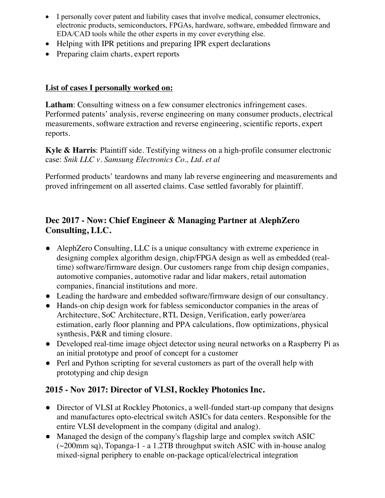- I personally cover patent and liability cases that involve medical, consumer electronics, electronic products, semiconductors, FPGAs, hardware, software, embedded firmware and EDA/CAD tools while the other experts in my cover everything else.
- Helping with IPR petitions and preparing IPR expert declarations
- Preparing claim charts, expert reports

#### **List of cases I personally worked on:**

Latham: Consulting witness on a few consumer electronics infringement cases. Performed patents' analysis, reverse engineering on many consumer products, electrical measurements, software extraction and reverse engineering, scientific reports, expert reports.

**Kyle & Harris**: Plaintiff side. Testifying witness on a high-profile consumer electronic case: *Snik LLC v. Samsung Electronics Co., Ltd. et al*

Performed products' teardowns and many lab reverse engineering and measurements and proved infringement on all asserted claims. Case settled favorably for plaintiff.

#### **Dec 2017 - Now: Chief Engineer & Managing Partner at AlephZero Consulting, LLC.**

- AlephZero Consulting, LLC is a unique consultancy with extreme experience in designing complex algorithm design, chip/FPGA design as well as embedded (realtime) software/firmware design. Our customers range from chip design companies, automotive companies, automotive radar and lidar makers, retail automation companies, financial institutions and more.
- Leading the hardware and embedded software/firmware design of our consultancy.
- Hands-on chip design work for fabless semiconductor companies in the areas of Architecture, SoC Architecture, RTL Design, Verification, early power/area estimation, early floor planning and PPA calculations, flow optimizations, physical synthesis, P&R and timing closure.
- Developed real-time image object detector using neural networks on a Raspberry Pi as an initial prototype and proof of concept for a customer
- Perl and Python scripting for several customers as part of the overall help with prototyping and chip design

#### **2015 - Nov 2017: Director of VLSI, Rockley Photonics Inc.**

- Director of VLSI at Rockley Photonics, a well-funded start-up company that designs and manufactures opto-electrical switch ASICs for data centers. Responsible for the entire VLSI development in the company (digital and analog).
- Managed the design of the company's flagship large and complex switch ASIC  $\sim$ 200mm sq), Topanga-1 - a 1.2TB throughput switch ASIC with in-house analog mixed-signal periphery to enable on-package optical/electrical integration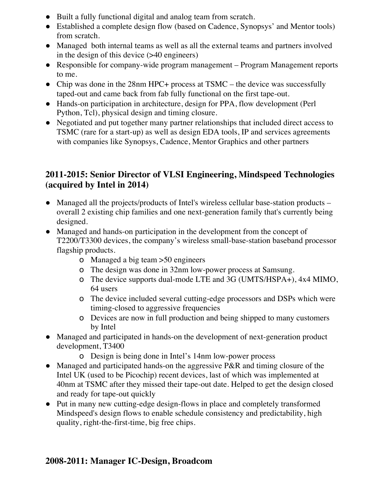- Built a fully functional digital and analog team from scratch.
- Established a complete design flow (based on Cadence, Synopsys' and Mentor tools) from scratch.
- Managed both internal teams as well as all the external teams and partners involved in the design of this device (>40 engineers)
- Responsible for company-wide program management Program Management reports to me.
- Chip was done in the 28nm HPC+ process at TSMC the device was successfully taped-out and came back from fab fully functional on the first tape-out.
- Hands-on participation in architecture, design for PPA, flow development (Perl Python, Tcl), physical design and timing closure.
- Negotiated and put together many partner relationships that included direct access to TSMC (rare for a start-up) as well as design EDA tools, IP and services agreements with companies like Synopsys, Cadence, Mentor Graphics and other partners

#### **2011-2015: Senior Director of VLSI Engineering, Mindspeed Technologies (acquired by Intel in 2014)**

- Managed all the projects/products of Intel's wireless cellular base-station products overall 2 existing chip families and one next-generation family that's currently being designed.
- Managed and hands-on participation in the development from the concept of T2200/T3300 devices, the company's wireless small-base-station baseband processor flagship products.
	- o Managed a big team >50 engineers
	- o The design was done in 32nm low-power process at Samsung.
	- o The device supports dual-mode LTE and 3G (UMTS/HSPA+), 4x4 MIMO, 64 users
	- o The device included several cutting-edge processors and DSPs which were timing-closed to aggressive frequencies
	- o Devices are now in full production and being shipped to many customers by Intel
- Managed and participated in hands-on the development of next-generation product development, T3400
	- o Design is being done in Intel's 14nm low-power process
- Managed and participated hands-on the aggressive P&R and timing closure of the Intel UK (used to be Picochip) recent devices, last of which was implemented at 40nm at TSMC after they missed their tape-out date. Helped to get the design closed and ready for tape-out quickly
- Put in many new cutting-edge design-flows in place and completely transformed Mindspeed's design flows to enable schedule consistency and predictability, high quality, right-the-first-time, big free chips.

#### **2008-2011: Manager IC-Design, Broadcom**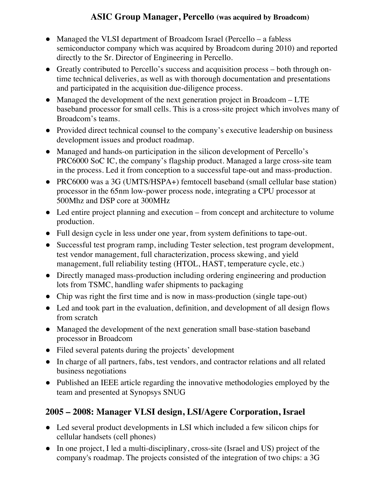## **ASIC Group Manager, Percello (was acquired by Broadcom)**

- Managed the VLSI department of Broadcom Israel (Percello a fabless semiconductor company which was acquired by Broadcom during 2010) and reported directly to the Sr. Director of Engineering in Percello.
- Greatly contributed to Percello's success and acquisition process both through ontime technical deliveries, as well as with thorough documentation and presentations and participated in the acquisition due-diligence process.
- Managed the development of the next generation project in Broadcom LTE baseband processor for small cells. This is a cross-site project which involves many of Broadcom's teams.
- Provided direct technical counsel to the company's executive leadership on business development issues and product roadmap.
- Managed and hands-on participation in the silicon development of Percello's PRC6000 SoC IC, the company's flagship product. Managed a large cross-site team in the process. Led it from conception to a successful tape-out and mass-production.
- PRC6000 was a 3G (UMTS/HSPA+) femtocell baseband (small cellular base station) processor in the 65nm low-power process node, integrating a CPU processor at 500Mhz and DSP core at 300MHz
- Led entire project planning and execution from concept and architecture to volume production.
- Full design cycle in less under one year, from system definitions to tape-out.
- Successful test program ramp, including Tester selection, test program development, test vendor management, full characterization, process skewing, and yield management, full reliability testing (HTOL, HAST, temperature cycle, etc.)
- Directly managed mass-production including ordering engineering and production lots from TSMC, handling wafer shipments to packaging
- Chip was right the first time and is now in mass-production (single tape-out)
- Led and took part in the evaluation, definition, and development of all design flows from scratch
- Managed the development of the next generation small base-station baseband processor in Broadcom
- Filed several patents during the projects' development
- In charge of all partners, fabs, test vendors, and contractor relations and all related business negotiations
- Published an IEEE article regarding the innovative methodologies employed by the team and presented at Synopsys SNUG

#### **2005 – 2008: Manager VLSI design, LSI/Agere Corporation, Israel**

- Led several product developments in LSI which included a few silicon chips for cellular handsets (cell phones)
- In one project, I led a multi-disciplinary, cross-site (Israel and US) project of the company's roadmap. The projects consisted of the integration of two chips: a 3G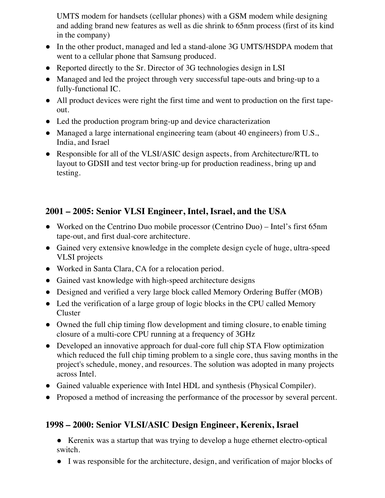UMTS modem for handsets (cellular phones) with a GSM modem while designing and adding brand new features as well as die shrink to 65nm process (first of its kind in the company)

- In the other product, managed and led a stand-alone 3G UMTS/HSDPA modem that went to a cellular phone that Samsung produced.
- Reported directly to the Sr. Director of 3G technologies design in LSI
- Managed and led the project through very successful tape-outs and bring-up to a fully-functional IC.
- All product devices were right the first time and went to production on the first tapeout.
- Led the production program bring-up and device characterization
- Managed a large international engineering team (about 40 engineers) from U.S., India, and Israel
- Responsible for all of the VLSI/ASIC design aspects, from Architecture/RTL to layout to GDSII and test vector bring-up for production readiness, bring up and testing.

#### **2001 – 2005: Senior VLSI Engineer, Intel, Israel, and the USA**

- Worked on the Centrino Duo mobile processor (Centrino Duo) Intel's first 65nm tape-out, and first dual-core architecture.
- Gained very extensive knowledge in the complete design cycle of huge, ultra-speed VLSI projects
- Worked in Santa Clara, CA for a relocation period.
- Gained vast knowledge with high-speed architecture designs
- Designed and verified a very large block called Memory Ordering Buffer (MOB)
- Led the verification of a large group of logic blocks in the CPU called Memory Cluster
- Owned the full chip timing flow development and timing closure, to enable timing closure of a multi-core CPU running at a frequency of 3GHz
- Developed an innovative approach for dual-core full chip STA Flow optimization which reduced the full chip timing problem to a single core, thus saving months in the project's schedule, money, and resources. The solution was adopted in many projects across Intel.
- Gained valuable experience with Intel HDL and synthesis (Physical Compiler).
- Proposed a method of increasing the performance of the processor by several percent.

#### **1998 – 2000: Senior VLSI/ASIC Design Engineer, Kerenix, Israel**

● Kerenix was a startup that was trying to develop a huge ethernet electro-optical switch.

● I was responsible for the architecture, design, and verification of major blocks of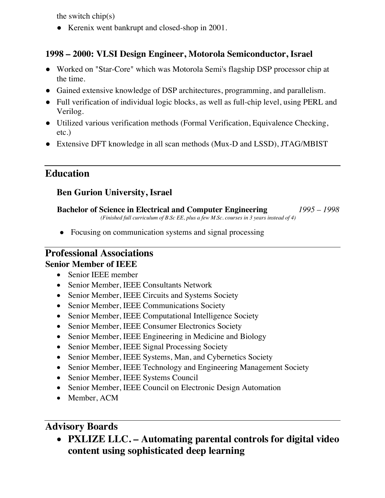the switch chip(s)

• Kerenix went bankrupt and closed-shop in 2001.

#### **1998 – 2000: VLSI Design Engineer, Motorola Semiconductor, Israel**

- Worked on "Star-Core" which was Motorola Semi's flagship DSP processor chip at the time.
- Gained extensive knowledge of DSP architectures, programming, and parallelism.
- Full verification of individual logic blocks, as well as full-chip level, using PERL and Verilog.
- Utilized various verification methods (Formal Verification, Equivalence Checking, etc.)
- Extensive DFT knowledge in all scan methods (Mux-D and LSSD), JTAG/MBIST

## **Education**

#### **Ben Gurion University, Israel**

**Bachelor of Science in Electrical and Computer Engineering** *1995 – 1998 (Finished full curriculum of B.Sc EE, plus a few M.Sc. courses in 3 years instead of 4)*

• Focusing on communication systems and signal processing

#### **Professional Associations Senior Member of IEEE**

- Senior IEEE member
- Senior Member, IEEE Consultants Network
- Senior Member, IEEE Circuits and Systems Society
- Senior Member, IEEE Communications Society
- Senior Member, IEEE Computational Intelligence Society
- Senior Member, IEEE Consumer Electronics Society
- Senior Member, IEEE Engineering in Medicine and Biology
- Senior Member, IEEE Signal Processing Society
- Senior Member, IEEE Systems, Man, and Cybernetics Society
- Senior Member, IEEE Technology and Engineering Management Society
- Senior Member, IEEE Systems Council
- Senior Member, IEEE Council on Electronic Design Automation
- Member, ACM

## **Advisory Boards**

• **PXLIZE LLC. – Automating parental controls for digital video content using sophisticated deep learning**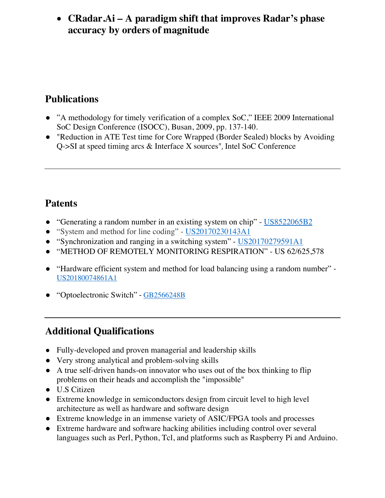## • **CRadar.Ai – A paradigm shift that improves Radar's phase accuracy by orders of magnitude**

# **Publications**

- "A methodology for timely verification of a complex SoC," IEEE 2009 International SoC Design Conference (ISOCC), Busan, 2009, pp. 137-140.
- "Reduction in ATE Test time for Core Wrapped (Border Sealed) blocks by Avoiding Q->SI at speed timing arcs & Interface X sources", Intel SoC Conference

# **Patents**

- "Generating a random number in an existing system on chip" US8522065B2
- "System and method for line coding" US20170230143A1
- "Synchronization and ranging in a switching system" US20170279591A1
- "METHOD OF REMOTELY MONITORING RESPIRATION" US 62/625,578
- "Hardware efficient system and method for load balancing using a random number" US20180074861A1
- "Optoelectronic Switch" GB2566248B

# **Additional Qualifications**

- Fully-developed and proven managerial and leadership skills
- Very strong analytical and problem-solving skills
- A true self-driven hands-on innovator who uses out of the box thinking to flip problems on their heads and accomplish the "impossible"
- U.S Citizen
- Extreme knowledge in semiconductors design from circuit level to high level architecture as well as hardware and software design
- Extreme knowledge in an immense variety of ASIC/FPGA tools and processes
- Extreme hardware and software hacking abilities including control over several languages such as Perl, Python, Tcl, and platforms such as Raspberry Pi and Arduino.